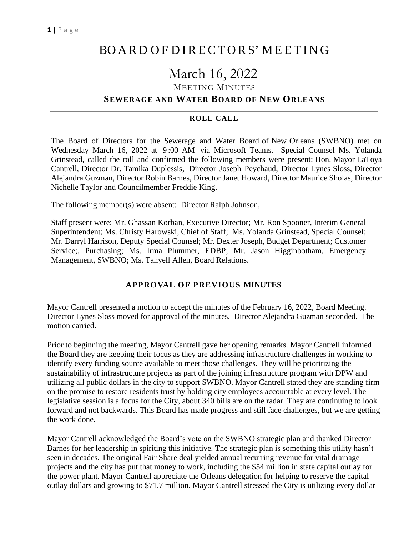# BO A R D O F D I RE CTO RS' M EET I N G

# March 16, 2022

MEETING MINUTES

# **SEWERAGE AND WATER BOARD OF NEW ORLEANS**

#### **ROLL CALL**

The Board of Directors for the Sewerage and Water Board of New Orleans (SWBNO) met on Wednesday March 16, 2022 at 9 :00 AM via Microsoft Teams. Special Counsel Ms. Yolanda Grinstead, called the roll and confirmed the following members were present: Hon. Mayor LaToya Cantrell, Director Dr. Tamika Duplessis, Director Joseph Peychaud, Director Lynes Sloss, Director Alejandra Guzman, Director Robin Barnes, Director Janet Howard, Director Maurice Sholas, Director Nichelle Taylor and Councilmember Freddie King.

The following member(s) were absent: Director Ralph Johnson,

Staff present were: Mr. Ghassan Korban, Executive Director; Mr. Ron Spooner, Interim General Superintendent; Ms. Christy Harowski, Chief of Staff; Ms. Yolanda Grinstead, Special Counsel; Mr. Darryl Harrison, Deputy Special Counsel; Mr. Dexter Joseph, Budget Department; Customer Service;, Purchasing; Ms. Irma Plummer, EDBP; Mr. Jason Higginbotham, Emergency Management, SWBNO; Ms. Tanyell Allen, Board Relations.

# **APPROVAL OF PREVIOUS MINUTES**

Mayor Cantrell presented a motion to accept the minutes of the February 16, 2022, Board Meeting. Director Lynes Sloss moved for approval of the minutes. Director Alejandra Guzman seconded. The motion carried.

Prior to beginning the meeting, Mayor Cantrell gave her opening remarks. Mayor Cantrell informed the Board they are keeping their focus as they are addressing infrastructure challenges in working to identify every funding source available to meet those challenges. They will be prioritizing the sustainability of infrastructure projects as part of the joining infrastructure program with DPW and utilizing all public dollars in the city to support SWBNO. Mayor Cantrell stated they are standing firm on the promise to restore residents trust by holding city employees accountable at every level. The legislative session is a focus for the City, about 340 bills are on the radar. They are continuing to look forward and not backwards. This Board has made progress and still face challenges, but we are getting the work done.

Mayor Cantrell acknowledged the Board's vote on the SWBNO strategic plan and thanked Director Barnes for her leadership in spiriting this initiative. The strategic plan is something this utility hasn't seen in decades. The original Fair Share deal yielded annual recurring revenue for vital drainage projects and the city has put that money to work, including the \$54 million in state capital outlay for the power plant. Mayor Cantrell appreciate the Orleans delegation for helping to reserve the capital outlay dollars and growing to \$71.7 million. Mayor Cantrell stressed the City is utilizing every dollar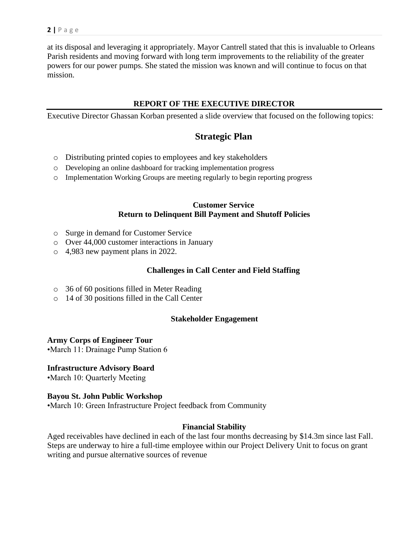at its disposal and leveraging it appropriately. Mayor Cantrell stated that this is invaluable to Orleans Parish residents and moving forward with long term improvements to the reliability of the greater powers for our power pumps. She stated the mission was known and will continue to focus on that mission.

# **REPORT OF THE EXECUTIVE DIRECTOR**

Executive Director Ghassan Korban presented a slide overview that focused on the following topics:

# **Strategic Plan**

- o Distributing printed copies to employees and key stakeholders
- o Developing an online dashboard for tracking implementation progress
- o Implementation Working Groups are meeting regularly to begin reporting progress

### **Customer Service Return to Delinquent Bill Payment and Shutoff Policies**

- o Surge in demand for Customer Service
- o Over 44,000 customer interactions in January
- o 4,983 new payment plans in 2022.

# **Challenges in Call Center and Field Staffing**

- o 36 of 60 positions filled in Meter Reading
- o 14 of 30 positions filled in the Call Center

#### **Stakeholder Engagement**

#### **Army Corps of Engineer Tour**

•March 11: Drainage Pump Station 6

#### **Infrastructure Advisory Board**

•March 10: Quarterly Meeting

#### **Bayou St. John Public Workshop**

•March 10: Green Infrastructure Project feedback from Community

# **Financial Stability**

Aged receivables have declined in each of the last four months decreasing by \$14.3m since last Fall. Steps are underway to hire a full-time employee within our Project Delivery Unit to focus on grant writing and pursue alternative sources of revenue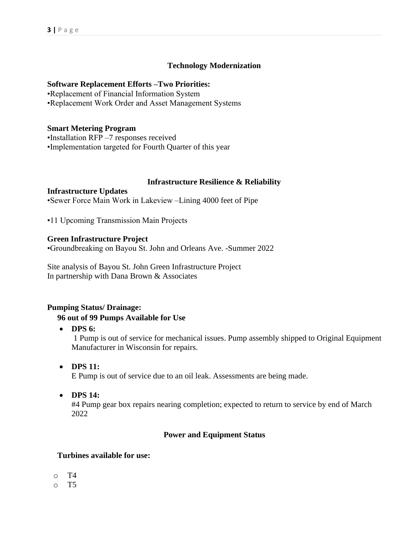# **Technology Modernization**

#### **Software Replacement Efforts –Two Priorities:**

•Replacement of Financial Information System

•Replacement Work Order and Asset Management Systems

#### **Smart Metering Program**

•Installation RFP –7 responses received

•Implementation targeted for Fourth Quarter of this year

#### **Infrastructure Resilience & Reliability**

**Infrastructure Updates**

•Sewer Force Main Work in Lakeview –Lining 4000 feet of Pipe

•11 Upcoming Transmission Main Projects

#### **Green Infrastructure Project**

•Groundbreaking on Bayou St. John and Orleans Ave. -Summer 2022

Site analysis of Bayou St. John Green Infrastructure Project In partnership with Dana Brown & Associates

#### **Pumping Status/ Drainage:**

#### **96 out of 99 Pumps Available for Use**

• **DPS 6:**

1 Pump is out of service for mechanical issues. Pump assembly shipped to Original Equipment Manufacturer in Wisconsin for repairs.

• **DPS 11:**

E Pump is out of service due to an oil leak. Assessments are being made.

• **DPS 14:**

#4 Pump gear box repairs nearing completion; expected to return to service by end of March 2022

#### **Power and Equipment Status**

#### **Turbines available for use:**

- o T4
- $\circ$  T5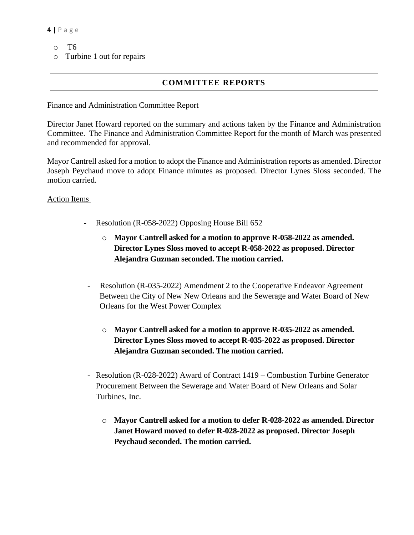- o T6
- o Turbine 1 out for repairs

# **COMMITTEE REPORTS**

#### Finance and Administration Committee Report

Director Janet Howard reported on the summary and actions taken by the Finance and Administration Committee. The Finance and Administration Committee Report for the month of March was presented and recommended for approval.

Mayor Cantrell asked for a motion to adopt the Finance and Administration reports as amended. Director Joseph Peychaud move to adopt Finance minutes as proposed. Director Lynes Sloss seconded. The motion carried.

### Action Items

- Resolution (R-058-2022) Opposing House Bill 652
	- o **Mayor Cantrell asked for a motion to approve R-058-2022 as amended. Director Lynes Sloss moved to accept R-058-2022 as proposed. Director Alejandra Guzman seconded. The motion carried.**
- Resolution (R-035-2022) Amendment 2 to the Cooperative Endeavor Agreement Between the City of New New Orleans and the Sewerage and Water Board of New Orleans for the West Power Complex
	- o **Mayor Cantrell asked for a motion to approve R-035-2022 as amended. Director Lynes Sloss moved to accept R-035-2022 as proposed. Director Alejandra Guzman seconded. The motion carried.**
- Resolution (R-028-2022) Award of Contract 1419 Combustion Turbine Generator Procurement Between the Sewerage and Water Board of New Orleans and Solar Turbines, Inc.
	- o **Mayor Cantrell asked for a motion to defer R-028-2022 as amended. Director Janet Howard moved to defer R-028-2022 as proposed. Director Joseph Peychaud seconded. The motion carried.**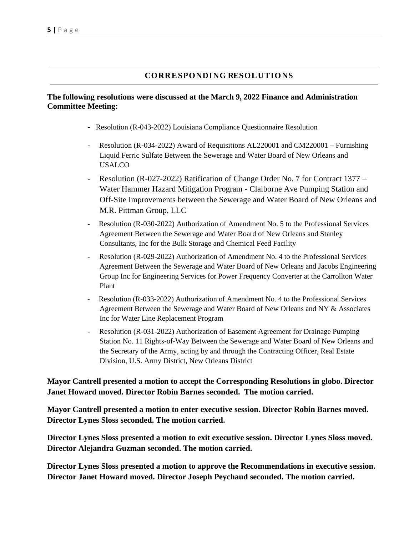# **CORRESPONDING RESOLUTIONS**

#### **The following resolutions were discussed at the March 9, 2022 Finance and Administration Committee Meeting:**

- **-** Resolution (R-043-2022) Louisiana Compliance Questionnaire Resolution
- Resolution (R-034-2022) Award of Requisitions AL220001 and CM220001 Furnishing Liquid Ferric Sulfate Between the Sewerage and Water Board of New Orleans and USALCO
- Resolution (R-027-2022) Ratification of Change Order No. 7 for Contract 1377 Water Hammer Hazard Mitigation Program - Claiborne Ave Pumping Station and Off-Site Improvements between the Sewerage and Water Board of New Orleans and M.R. Pittman Group, LLC
- Resolution (R-030-2022) Authorization of Amendment No. 5 to the Professional Services Agreement Between the Sewerage and Water Board of New Orleans and Stanley Consultants, Inc for the Bulk Storage and Chemical Feed Facility
- Resolution (R-029-2022) Authorization of Amendment No. 4 to the Professional Services Agreement Between the Sewerage and Water Board of New Orleans and Jacobs Engineering Group Inc for Engineering Services for Power Frequency Converter at the Carrollton Water Plant
- Resolution (R-033-2022) Authorization of Amendment No. 4 to the Professional Services Agreement Between the Sewerage and Water Board of New Orleans and NY & Associates Inc for Water Line Replacement Program
- Resolution (R-031-2022) Authorization of Easement Agreement for Drainage Pumping Station No. 11 Rights-of-Way Between the Sewerage and Water Board of New Orleans and the Secretary of the Army, acting by and through the Contracting Officer, Real Estate Division, U.S. Army District, New Orleans District

**Mayor Cantrell presented a motion to accept the Corresponding Resolutions in globo. Director Janet Howard moved. Director Robin Barnes seconded. The motion carried.**

**Mayor Cantrell presented a motion to enter executive session. Director Robin Barnes moved. Director Lynes Sloss seconded. The motion carried.**

**Director Lynes Sloss presented a motion to exit executive session. Director Lynes Sloss moved. Director Alejandra Guzman seconded. The motion carried.**

**Director Lynes Sloss presented a motion to approve the Recommendations in executive session. Director Janet Howard moved. Director Joseph Peychaud seconded. The motion carried.**